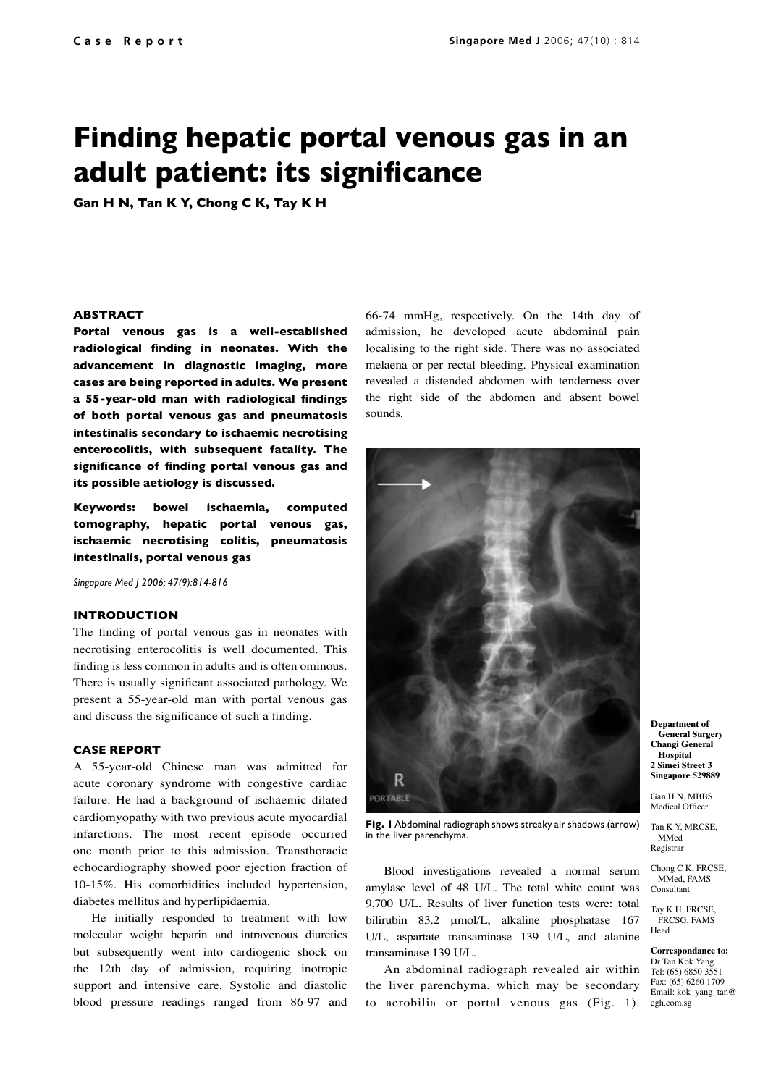# **Finding hepatic portal venous gas in an adult patient: its significance**

**Gan H N, Tan K Y, Chong C K, Tay K H**

### **ABSTRACT**

**Portal venous gas is a well-established radiological finding in neonates. With the advancement in diagnostic imaging, more cases are being reported in adults. We present a 55-year-old man with radiological findings of both portal venous gas and pneumatosis intestinalis secondary to ischaemic necrotising enterocolitis, with subsequent fatality. The significance of finding portal venous gas and its possible aetiology is discussed.**

**Keywords: bowel ischaemia, computed tomography, hepatic portal venous gas, ischaemic necrotising colitis, pneumatosis intestinalis, portal venous gas**

*Singapore Med J 2006; 47(9):814-816*

## **INTRODUCTION**

The finding of portal venous gas in neonates with necrotising enterocolitis is well documented. This finding is less common in adults and is often ominous. There is usually significant associated pathology. We present a 55-year-old man with portal venous gas and discuss the significance of such a finding.

### **CASE REPORT**

A 55-year-old Chinese man was admitted for acute coronary syndrome with congestive cardiac failure. He had a background of ischaemic dilated cardiomyopathy with two previous acute myocardial infarctions. The most recent episode occurred one month prior to this admission. Transthoracic echocardiography showed poor ejection fraction of 10-15%. His comorbidities included hypertension, diabetes mellitus and hyperlipidaemia.

He initially responded to treatment with low molecular weight heparin and intravenous diuretics but subsequently went into cardiogenic shock on the 12th day of admission, requiring inotropic support and intensive care. Systolic and diastolic blood pressure readings ranged from 86-97 and 66-74 mmHg, respectively. On the 14th day of admission, he developed acute abdominal pain localising to the right side. There was no associated melaena or per rectal bleeding. Physical examination revealed a distended abdomen with tenderness over the right side of the abdomen and absent bowel sounds.



**Fig. 1** Abdominal radiograph shows streaky air shadows (arrow) in the liver parenchyma.

Blood investigations revealed a normal serum amylase level of 48 U/L. The total white count was 9,700 U/L. Results of liver function tests were: total bilirubin 83.2 μmol/L, alkaline phosphatase 167 U/L, aspartate transaminase 139 U/L, and alanine transaminase 139 U/L.

to aerobilia or portal venous gas (Fig. 1). cgh.com.sg An abdominal radiograph revealed air within the liver parenchyma, which may be secondary

**Department of General Surgery Changi General Hospital 2 Simei Street 3**

**Singapore 529889**

Gan H N, MBBS Medical Officer

Tan K Y, MRCSE, MMed Registrar

Chong C K, FRCSE, MMed, FAMS Consultant

Tay K H, FRCSE, FRCSG, FAMS Head

**Correspondance to:** Dr Tan Kok Yang Tel: (65) 6850 3551 Fax: (65) 6260 1709 Email: kok\_yang\_tan@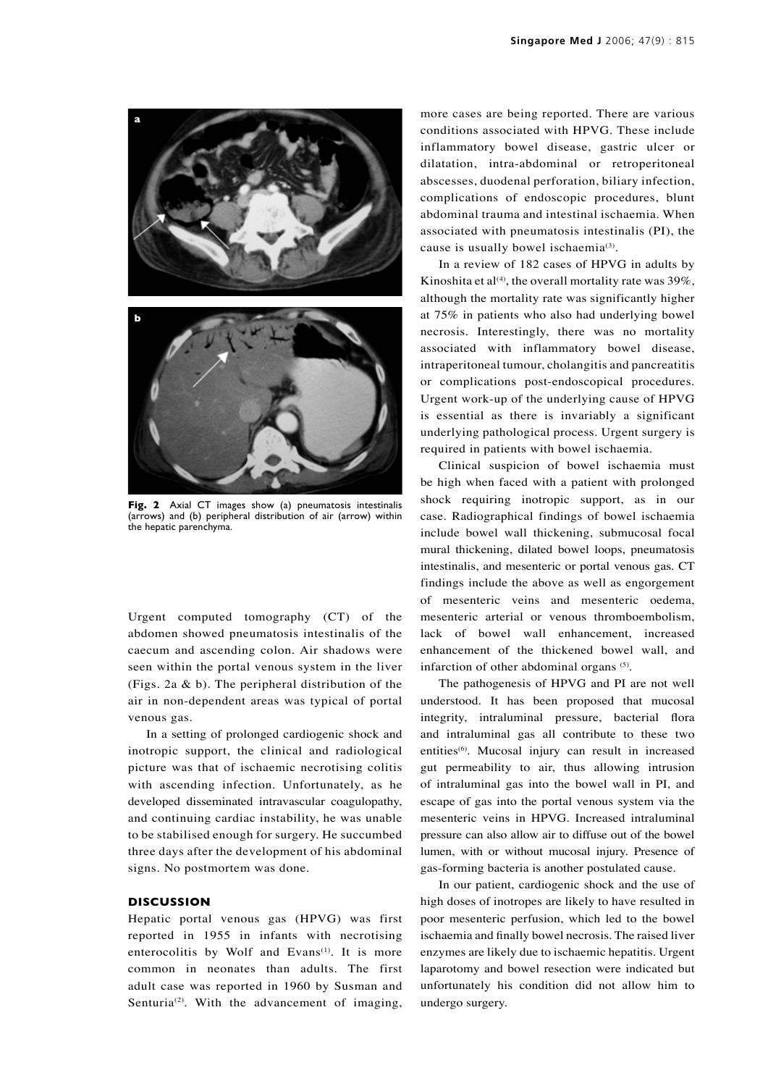

**Fig. 2** Axial CT images show (a) pneumatosis intestinalis (arrows) and (b) peripheral distribution of air (arrow) within the hepatic parenchyma.

Urgent computed tomography (CT) of the abdomen showed pneumatosis intestinalis of the caecum and ascending colon. Air shadows were seen within the portal venous system in the liver (Figs. 2a & b). The peripheral distribution of the air in non-dependent areas was typical of portal venous gas.

In a setting of prolonged cardiogenic shock and inotropic support, the clinical and radiological picture was that of ischaemic necrotising colitis with ascending infection. Unfortunately, as he developed disseminated intravascular coagulopathy, and continuing cardiac instability, he was unable to be stabilised enough for surgery. He succumbed three days after the development of his abdominal signs. No postmortem was done.

### **DISCUSSION**

Hepatic portal venous gas (HPVG) was first reported in 1955 in infants with necrotising enterocolitis by Wolf and Evans<sup>(1)</sup>. It is more common in neonates than adults. The first adult case was reported in 1960 by Susman and Senturia<sup>(2)</sup>. With the advancement of imaging, more cases are being reported. There are various conditions associated with HPVG. These include inflammatory bowel disease, gastric ulcer or dilatation, intra-abdominal or retroperitoneal abscesses, duodenal perforation, biliary infection, complications of endoscopic procedures, blunt abdominal trauma and intestinal ischaemia. When associated with pneumatosis intestinalis (PI), the cause is usually bowel ischaemia<sup>(3)</sup>.

In a review of 182 cases of HPVG in adults by Kinoshita et al<sup>(4)</sup>, the overall mortality rate was  $39\%$ , although the mortality rate was significantly higher at 75% in patients who also had underlying bowel necrosis. Interestingly, there was no mortality associated with inflammatory bowel disease, intraperitoneal tumour, cholangitis and pancreatitis or complications post-endoscopical procedures. Urgent work-up of the underlying cause of HPVG is essential as there is invariably a significant underlying pathological process. Urgent surgery is required in patients with bowel ischaemia.

Clinical suspicion of bowel ischaemia must be high when faced with a patient with prolonged shock requiring inotropic support, as in our case. Radiographical findings of bowel ischaemia include bowel wall thickening, submucosal focal mural thickening, dilated bowel loops, pneumatosis intestinalis, and mesenteric or portal venous gas. CT findings include the above as well as engorgement of mesenteric veins and mesenteric oedema, mesenteric arterial or venous thromboembolism, lack of bowel wall enhancement, increased enhancement of the thickened bowel wall, and infarction of other abdominal organs (5).

The pathogenesis of HPVG and PI are not well understood. It has been proposed that mucosal integrity, intraluminal pressure, bacterial flora and intraluminal gas all contribute to these two entities<sup>(6)</sup>. Mucosal injury can result in increased gut permeability to air, thus allowing intrusion of intraluminal gas into the bowel wall in PI, and escape of gas into the portal venous system via the mesenteric veins in HPVG. Increased intraluminal pressure can also allow air to diffuse out of the bowel lumen, with or without mucosal injury. Presence of gas-forming bacteria is another postulated cause.

In our patient, cardiogenic shock and the use of high doses of inotropes are likely to have resulted in poor mesenteric perfusion, which led to the bowel ischaemia and finally bowel necrosis. The raised liver enzymes are likely due to ischaemic hepatitis. Urgent laparotomy and bowel resection were indicated but unfortunately his condition did not allow him to undergo surgery.